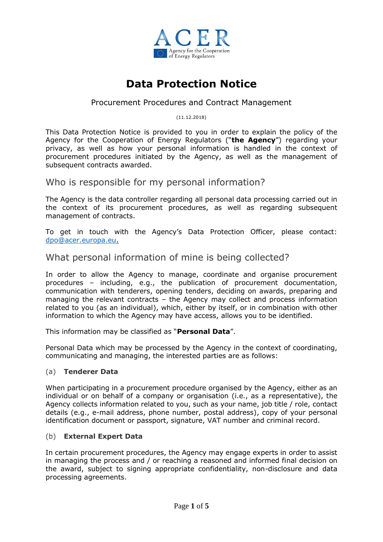

# **Data Protection Notice**

# Procurement Procedures and Contract Management

(11.12.2018)

This Data Protection Notice is provided to you in order to explain the policy of the Agency for the Cooperation of Energy Regulators ("**the Agency**") regarding your privacy, as well as how your personal information is handled in the context of procurement procedures initiated by the Agency, as well as the management of subsequent contracts awarded.

Who is responsible for my personal information?

The Agency is the data controller regarding all personal data processing carried out in the context of its procurement procedures, as well as regarding subsequent management of contracts.

To get in touch with the Agency's Data Protection Officer, please contact: [dpo@acer.europa.eu.](mailto:dpo@acer.europa.eu)

What personal information of mine is being collected?

In order to allow the Agency to manage, coordinate and organise procurement procedures – including, e.g., the publication of procurement documentation, communication with tenderers, opening tenders, deciding on awards, preparing and managing the relevant contracts – the Agency may collect and process information related to you (as an individual), which, either by itself, or in combination with other information to which the Agency may have access, allows you to be identified.

This information may be classified as "**Personal Data**".

Personal Data which may be processed by the Agency in the context of coordinating, communicating and managing, the interested parties are as follows:

### (a) **Tenderer Data**

When participating in a procurement procedure organised by the Agency, either as an individual or on behalf of a company or organisation (i.e., as a representative), the Agency collects information related to you, such as your name, job title / role, contact details (e.g., e-mail address, phone number, postal address), copy of your personal identification document or passport, signature, VAT number and criminal record.

### (b) **External Expert Data**

In certain procurement procedures, the Agency may engage experts in order to assist in managing the process and / or reaching a reasoned and informed final decision on the award, subject to signing appropriate confidentiality, non-disclosure and data processing agreements.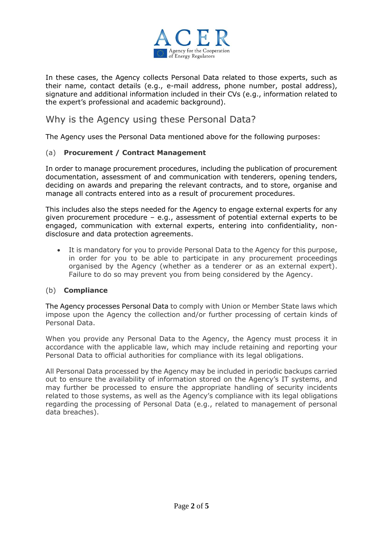

In these cases, the Agency collects Personal Data related to those experts, such as their name, contact details (e.g., e-mail address, phone number, postal address), signature and additional information included in their CVs (e.g., information related to the expert's professional and academic background).

# Why is the Agency using these Personal Data?

The Agency uses the Personal Data mentioned above for the following purposes:

#### (a) **Procurement / Contract Management**

In order to manage procurement procedures, including the publication of procurement documentation, assessment of and communication with tenderers, opening tenders, deciding on awards and preparing the relevant contracts, and to store, organise and manage all contracts entered into as a result of procurement procedures.

This includes also the steps needed for the Agency to engage external experts for any given procurement procedure – e.g., assessment of potential external experts to be engaged, communication with external experts, entering into confidentiality, nondisclosure and data protection agreements.

 It is mandatory for you to provide Personal Data to the Agency for this purpose, in order for you to be able to participate in any procurement proceedings organised by the Agency (whether as a tenderer or as an external expert). Failure to do so may prevent you from being considered by the Agency.

#### (b) **Compliance**

The Agency processes Personal Data to comply with Union or Member State laws which impose upon the Agency the collection and/or further processing of certain kinds of Personal Data.

When you provide any Personal Data to the Agency, the Agency must process it in accordance with the applicable law, which may include retaining and reporting your Personal Data to official authorities for compliance with its legal obligations.

All Personal Data processed by the Agency may be included in periodic backups carried out to ensure the availability of information stored on the Agency's IT systems, and may further be processed to ensure the appropriate handling of security incidents related to those systems, as well as the Agency's compliance with its legal obligations regarding the processing of Personal Data (e.g., related to management of personal data breaches).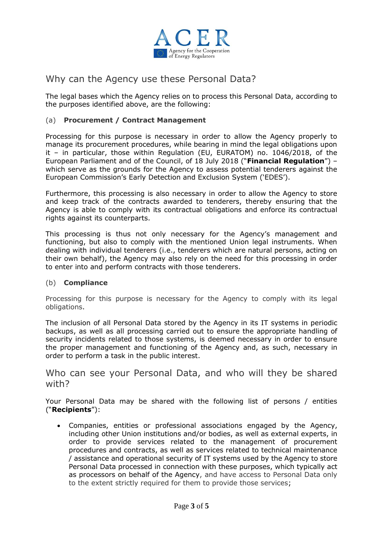

# Why can the Agency use these Personal Data?

The legal bases which the Agency relies on to process this Personal Data, according to the purposes identified above, are the following:

# (a) **Procurement / Contract Management**

Processing for this purpose is necessary in order to allow the Agency properly to manage its procurement procedures, while bearing in mind the legal obligations upon it – in particular, those within Regulation (EU, EURATOM) no. 1046/2018, of the European Parliament and of the Council, of 18 July 2018 ("**Financial Regulation**") – which serve as the grounds for the Agency to assess potential tenderers against the European Commission's Early Detection and Exclusion System ('EDES').

Furthermore, this processing is also necessary in order to allow the Agency to store and keep track of the contracts awarded to tenderers, thereby ensuring that the Agency is able to comply with its contractual obligations and enforce its contractual rights against its counterparts.

This processing is thus not only necessary for the Agency's management and functioning, but also to comply with the mentioned Union legal instruments. When dealing with individual tenderers (i.e., tenderers which are natural persons, acting on their own behalf), the Agency may also rely on the need for this processing in order to enter into and perform contracts with those tenderers.

#### (b) **Compliance**

Processing for this purpose is necessary for the Agency to comply with its legal obligations.

The inclusion of all Personal Data stored by the Agency in its IT systems in periodic backups, as well as all processing carried out to ensure the appropriate handling of security incidents related to those systems, is deemed necessary in order to ensure the proper management and functioning of the Agency and, as such, necessary in order to perform a task in the public interest.

Who can see your Personal Data, and who will they be shared with?

Your Personal Data may be shared with the following list of persons / entities ("**Recipients**"):

 Companies, entities or professional associations engaged by the Agency, including other Union institutions and/or bodies, as well as external experts, in order to provide services related to the management of procurement procedures and contracts, as well as services related to technical maintenance / assistance and operational security of IT systems used by the Agency to store Personal Data processed in connection with these purposes, which typically act as processors on behalf of the Agency, and have access to Personal Data only to the extent strictly required for them to provide those services;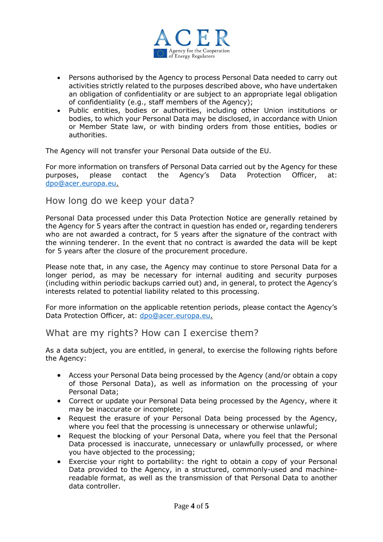

- Persons authorised by the Agency to process Personal Data needed to carry out activities strictly related to the purposes described above, who have undertaken an obligation of confidentiality or are subject to an appropriate legal obligation of confidentiality (e.g., staff members of the Agency);
- Public entities, bodies or authorities, including other Union institutions or bodies, to which your Personal Data may be disclosed, in accordance with Union or Member State law, or with binding orders from those entities, bodies or authorities.

The Agency will not transfer your Personal Data outside of the EU.

For more information on transfers of Personal Data carried out by the Agency for these purposes, please contact the Agency's Data Protection Officer, at: [dpo@acer.europa.eu.](mailto:dpo@acer.europa.eu)

# How long do we keep your data?

Personal Data processed under this Data Protection Notice are generally retained by the Agency for 5 years after the contract in question has ended or, regarding tenderers who are not awarded a contract, for 5 years after the signature of the contract with the winning tenderer. In the event that no contract is awarded the data will be kept for 5 years after the closure of the procurement procedure.

Please note that, in any case, the Agency may continue to store Personal Data for a longer period, as may be necessary for internal auditing and security purposes (including within periodic backups carried out) and, in general, to protect the Agency's interests related to potential liability related to this processing.

For more information on the applicable retention periods, please contact the Agency's Data Protection Officer, at: [dpo@acer.europa.eu.](mailto:dpo@acer.europa.eu)

# What are my rights? How can I exercise them?

As a data subject, you are entitled, in general, to exercise the following rights before the Agency:

- Access your Personal Data being processed by the Agency (and/or obtain a copy of those Personal Data), as well as information on the processing of your Personal Data;
- Correct or update your Personal Data being processed by the Agency, where it may be inaccurate or incomplete;
- Request the erasure of your Personal Data being processed by the Agency, where you feel that the processing is unnecessary or otherwise unlawful;
- Request the blocking of your Personal Data, where you feel that the Personal Data processed is inaccurate, unnecessary or unlawfully processed, or where you have objected to the processing;
- Exercise your right to portability: the right to obtain a copy of your Personal Data provided to the Agency, in a structured, commonly-used and machinereadable format, as well as the transmission of that Personal Data to another data controller.